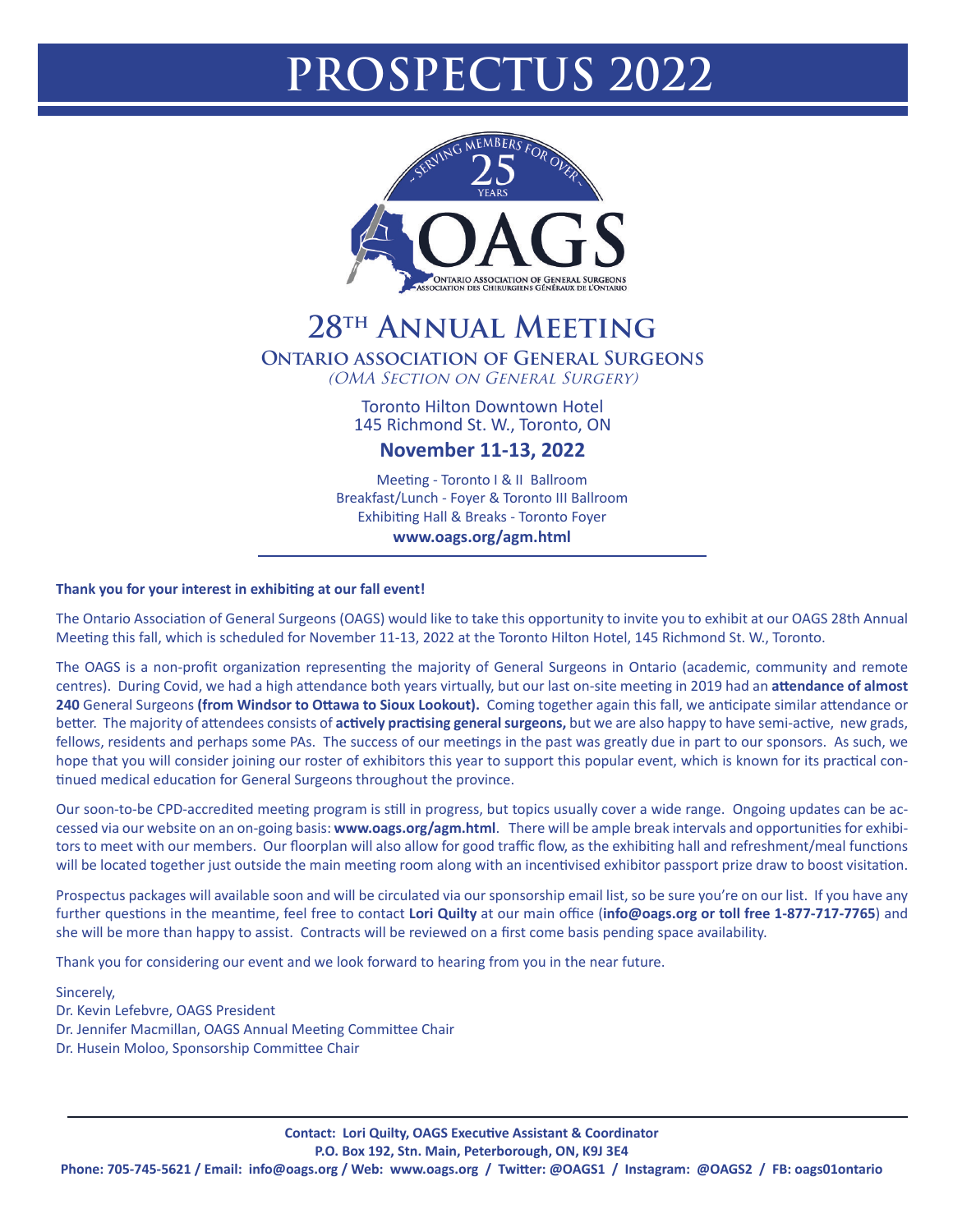## **PROSPECTUS 2022**



## **28th Annual Meeting**

**Ontario association of General Surgeons**

(OMA Section on General Surgery)

Toronto Hilton Downtown Hotel 145 Richmond St. W., Toronto, ON

**November 11-13, 2022**

Meeting - Toronto I & II Ballroom Breakfast/Lunch - Foyer & Toronto III Ballroom Exhibiting Hall & Breaks - Toronto Foyer

## **www.oags.org/agm.html**

## **Thank you for your interest in exhibiting at our fall event!**

The Ontario Association of General Surgeons (OAGS) would like to take this opportunity to invite you to exhibit at our OAGS 28th Annual Meeting this fall, which is scheduled for November 11-13, 2022 at the Toronto Hilton Hotel, 145 Richmond St. W., Toronto.

The OAGS is a non-profit organization representing the majority of General Surgeons in Ontario (academic, community and remote centres). During Covid, we had a high attendance both years virtually, but our last on-site meeting in 2019 had an **attendance of almost 240** General Surgeons **(from Windsor to Ottawa to Sioux Lookout).** Coming together again this fall, we anticipate similar attendance or better. The majority of attendees consists of **actively practising general surgeons,** but we are also happy to have semi-active, new grads, fellows, residents and perhaps some PAs. The success of our meetings in the past was greatly due in part to our sponsors. As such, we hope that you will consider joining our roster of exhibitors this year to support this popular event, which is known for its practical continued medical education for General Surgeons throughout the province.

Our soon-to-be CPD-accredited meeting program is still in progress, but topics usually cover a wide range. Ongoing updates can be accessed via our website on an on-going basis: **www.oags.org/agm.html**. There will be ample break intervals and opportunities for exhibitors to meet with our members. Our floorplan will also allow for good traffic flow, as the exhibiting hall and refreshment/meal functions will be located together just outside the main meeting room along with an incentivised exhibitor passport prize draw to boost visitation.

Prospectus packages will available soon and will be circulated via our sponsorship email list, so be sure you're on our list. If you have any further questions in the meantime, feel free to contact **Lori Quilty** at our main office (**info@oags.org or toll free 1-877-717-7765**) and she will be more than happy to assist. Contracts will be reviewed on a first come basis pending space availability.

Thank you for considering our event and we look forward to hearing from you in the near future.

Sincerely,

Dr. Kevin Lefebvre, OAGS President

- Dr. Jennifer Macmillan, OAGS Annual Meeting Committee Chair
- Dr. Husein Moloo, Sponsorship Committee Chair